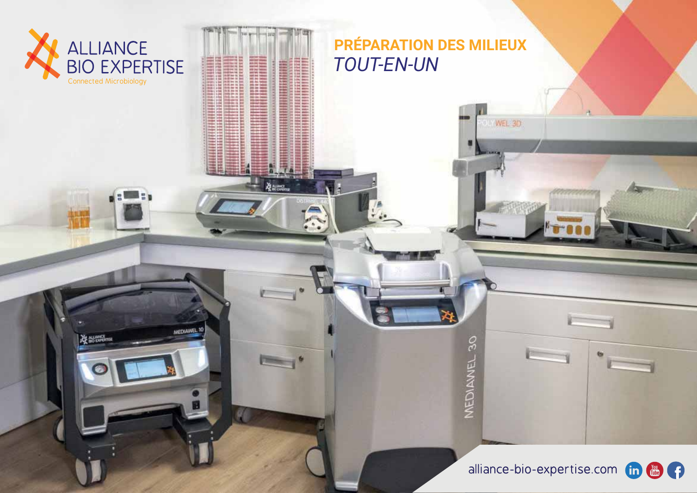

**ALLINGE** 

MEDIAWEL 10

PRÉPARATION DES MILIEUX **TOUT-EN-UN** 

WEL 3D

MEDIANNEL 30

alliance-bio-expertise.com in **the contract of the contract of the contract of the contract of the contract of the contract of the contract of the contract of the contract of the contract of the contract of the contract of** 

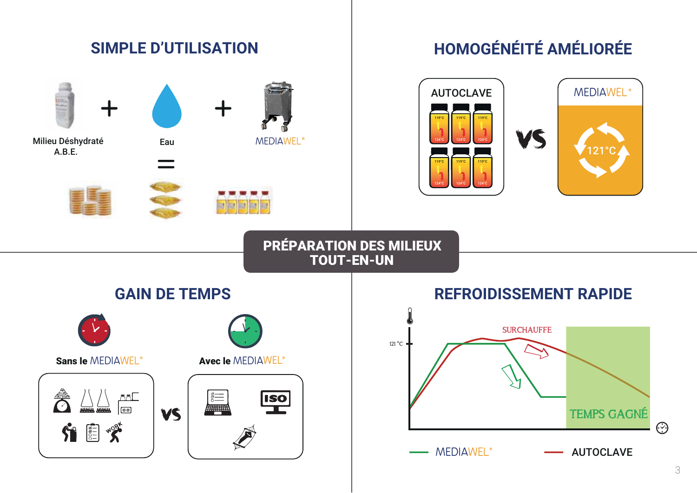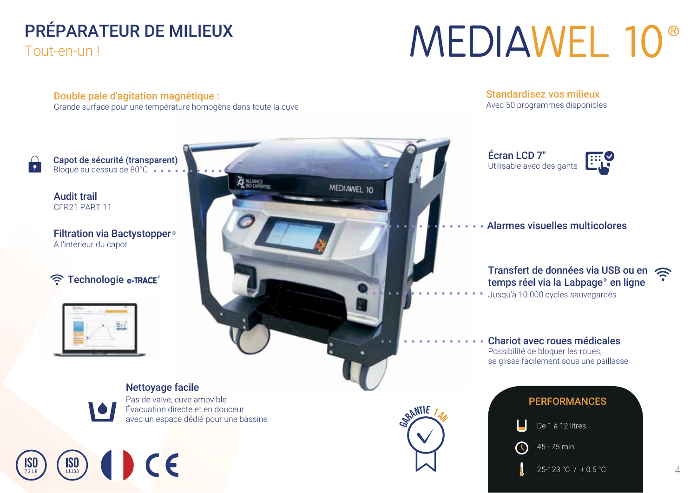# PRÉPARATEUR DE MILIEUX

Tout-en-un!

# **MEDIAWEL 10<sup>®</sup>**

Double pale d'agitation magnétique :

Grande surface pour une température homogène dans toute la cuve

**Standardisez vos milieux** Avec 50 programmes disponibles

25-123 °C / ± 0.5 °C

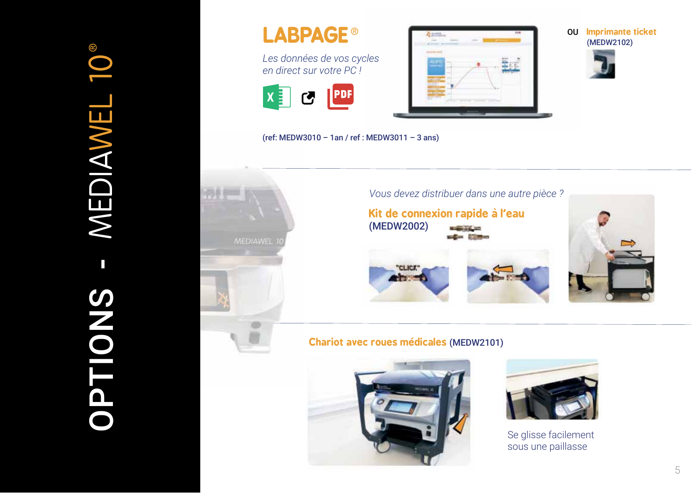

Les données de vos cycles en direct sur votre PC!





**OU** Imprimante ticket (MEDW2102)



(ref: MEDW3010 - 1an / ref : MEDW3011 - 3 ans)



#### **Chariot avec roues médicales (MEDW2101)**





Se glisse facilement sous une paillasse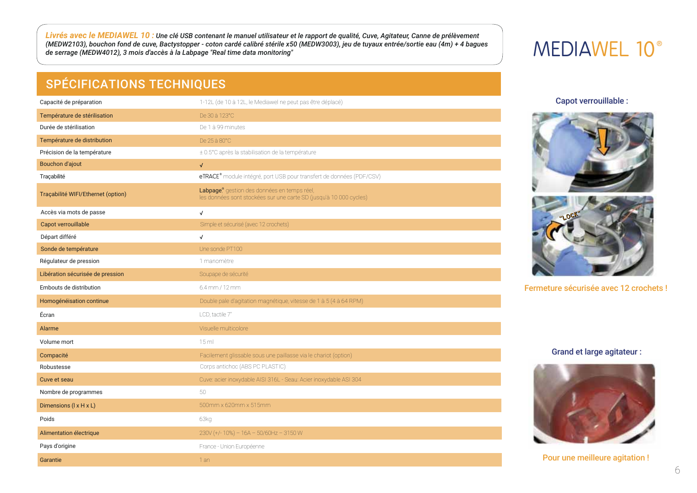<mark>Livrés avec le MEDIAWEL 10 :</mark> Une clé USB contenant le manuel utilisateur et le rapport de qualité, Cuve, Agitateur, Canne de prélèvement<br>(MEDW2103), bouchon fond de cuve, Bactystopper - coton cardé calibré stérile x50 (M de serrage (MEDW4012), 3 mois d'accès à la Labpage "Real time data monitoring"

### **SPÉCIFICATIONS TECHNIQUES**

| Capacité de préparation            | 1-12L (de 10 à 12L, le Mediawel ne peut pas être déplacé)                                                         |
|------------------------------------|-------------------------------------------------------------------------------------------------------------------|
| Température de stérilisation       | De 30 à 123°C                                                                                                     |
| Durée de stérilisation             | De 1 à 99 minutes                                                                                                 |
| Température de distribution        | De 25 à 80°C                                                                                                      |
| Précision de la température        | ± 0.5°C après la stabilisation de la température                                                                  |
| <b>Bouchon d'ajout</b>             | $\sqrt{2}$                                                                                                        |
| Traçabilité                        | eTRACE <sup>®</sup> module intégré, port USB pour transfert de données (PDF/CSV)                                  |
| Traçabilité WIFI/Ethernet (option) | Labpage, gestion des données en temps réel,<br>les données sont stockées sur une carte SD (jusqu'à 10 000 cycles) |
| Accès via mots de passe            | $\checkmark$                                                                                                      |
| Capot verrouillable                | Simple et sécurisé (avec 12 crochets)                                                                             |
| Départ différé                     | $\checkmark$                                                                                                      |
| Sonde de température               | Une sonde PT100                                                                                                   |
| Régulateur de pression             | 1 manomètre                                                                                                       |
| Libération sécurisée de pression   | Soupape de sécurité                                                                                               |
| Embouts de distribution            | $6.4$ mm / 12 mm                                                                                                  |
| Homogénéisation continue           | Double pale d'agitation magnétique, vitesse de 1 à 5 (4 à 64 RPM)                                                 |
| Écran                              | LCD, tactile 7"                                                                                                   |
| Alarme                             | Visuelle multicolore                                                                                              |
| Volume mort                        | 15 <sub>ml</sub>                                                                                                  |
| Compacité                          | Facilement glissable sous une paillasse via le chariot (option)                                                   |
| Robustesse                         | Corps antichoc (ABS PC PLASTIC)                                                                                   |
| Cuve et seau                       | Cuve: acier inoxydable AISI 316L - Seau: Acier inoxydable ASI 304                                                 |
| Nombre de programmes               | 50                                                                                                                |
| Dimensions (I x H x L)             | 500mm x 620mm x 515mm                                                                                             |
| Poids                              | 63kg                                                                                                              |
| Alimentation électrique            | $230V$ (+/-10%) - 16A - 50/60Hz - 3150 W                                                                          |
| Pays d'origine                     | France - Union Européenne                                                                                         |
| Garantie                           | 1 an                                                                                                              |

# MEDIAWEL 10<sup>®</sup>

Capot verrouillable :





Fermeture sécurisée avec 12 crochets !

#### **Grand et large agitateur:**



Pour une meilleure agitation!